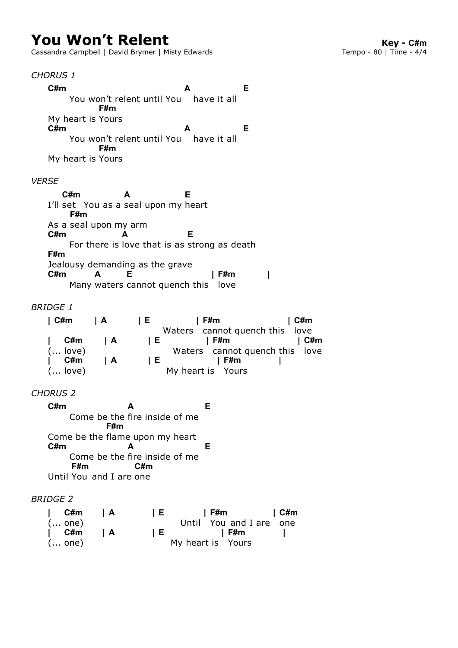# **You Won't Relent**<br>Cassandra Campbell | David Brymer | Misty Edwards<br>**Cassandra Campbell | David Brymer | Misty Edwards**<br>**Cassandra Campbell | David Brymer | Misty Edwards**

Cassandra Campbell | David Brymer | Misty Edwards

## *CHORUS 1*

 You won't relent until You have it all My heart is Yours You won't relent until You have it all My heart is Yours **C#m A E F#m C#m A E F#m**

#### *VERSE*

I'll set You as a seal upon my heart As a seal upon my arm For there is love that is as strong as death Jealousy demanding as the grave Many waters cannot quench this love **C#m A E F#m C#m A E F#m C#m A E | F#m |**

## *BRIDGE 1*

| ∣C#m      | I A            | IE.   | F#m                            | C#m        |
|-----------|----------------|-------|--------------------------------|------------|
|           |                |       | Waters cannot quench this love |            |
| C#m       | $\overline{A}$ | 1 E . | l F#m                          | $\mid$ C#m |
| $($ love) |                |       | Waters cannot quench this love |            |
| C#m       | I A            | 1 E.  | l F#m                          |            |
| $($ love) |                |       | My heart is Yours              |            |

## *CHORUS 2*

 Come be the inside of me fire Come be the flame upon my heart Come be the inside of me fire Until You and I are one **C#m A E F#m C#m A E F#m C#m**

## *BRIDGE 2*

| ∣ C#m  | IA.            | 1 E . | <b>Example 1</b> C#m<br>l F#m |  |
|--------|----------------|-------|-------------------------------|--|
| ( one) |                |       | Until You and I are one       |  |
| ∣ C#m  | $\overline{A}$ | 1 E . | l F#m                         |  |
| ( one) |                |       | My heart is Yours             |  |